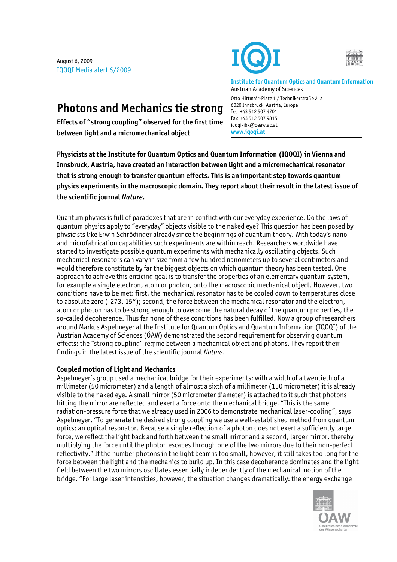August 6, 2009 IQOQI Media alert 6/2009





**Institute for Quantum Optics and Quantum Information**  Austrian Academy of Sciences

Otto Hittmair-Platz 1 / Technikerstraße 21a

6020 Innsbruck, Austria, Europe Tel +43 512 507 4701 Fax +43 512 507 9815 iqoqi-ibk@oeaw.ac.at **www.iqoqi.at** 

**Photons and Mechanics tie strong** 

**Effects of "strong coupling" observed for the first time between light and a micromechanical object** 

**Physicists at the Institute for Quantum Optics and Quantum Information (IQOQI) in Vienna and Innsbruck, Austria, have created an interaction between light and a micromechanical resonator that is strong enough to transfer quantum effects. This is an important step towards quantum physics experiments in the macroscopic domain. They report about their result in the latest issue of the scientific journal** *Nature***.** 

Quantum physics is full of paradoxes that are in conflict with our everyday experience. Do the laws of quantum physics apply to "everyday" objects visible to the naked eye? This question has been posed by physicists like Erwin Schrödinger already since the beginnings of quantum theory. With today's nanoand microfabrication capabilities such experiments are within reach. Researchers worldwide have started to investigate possible quantum experiments with mechanically oscillating objects. Such mechanical resonators can vary in size from a few hundred nanometers up to several centimeters and would therefore constitute by far the biggest objects on which quantum theory has been tested. One approach to achieve this enticing goal is to transfer the properties of an elementary quantum system, for example a single electron, atom or photon, onto the macroscopic mechanical object. However, two conditions have to be met: first, the mechanical resonator has to be cooled down to temperatures close to absolute zero (-273, 15°); second, the force between the mechanical resonator and the electron, atom or photon has to be strong enough to overcome the natural decay of the quantum properties, the so-called decoherence. Thus far none of these conditions has been fulfilled. Now a group of researchers around Markus Aspelmeyer at the Institute for Quantum Optics and Quantum Information (IQOQI) of the Austrian Academy of Sciences (ÖAW) demonstrated the second requirement for observing quantum effects: the "strong coupling" regime between a mechanical object and photons. They report their findings in the latest issue of the scientific journal *Nature*.

## **Coupled motion of Light and Mechanics**

Aspelmeyer's group used a mechanical bridge for their experiments: with a width of a twentieth of a millimeter (50 micrometer) and a length of almost a sixth of a millimeter (150 micrometer) it is already visible to the naked eye. A small mirror (50 micrometer diameter) is attached to it such that photons hitting the mirror are reflected and exert a force onto the mechanical bridge. "This is the same radiation-pressure force that we already used in 2006 to demonstrate mechanical laser-cooling", says Aspelmeyer. "To generate the desired strong coupling we use a well-established method from quantum optics: an optical resonator. Because a single reflection of a photon does not exert a sufficiently large force, we reflect the light back and forth between the small mirror and a second, larger mirror, thereby multiplying the force until the photon escapes through one of the two mirrors due to their non-perfect reflectivity." If the number photons in the light beam is too small, however, it still takes too long for the force between the light and the mechanics to build up. In this case decoherence dominates and the light field between the two mirrors oscillates essentially independently of the mechanical motion of the bridge. "For large laser intensities, however, the situation changes dramatically: the energy exchange